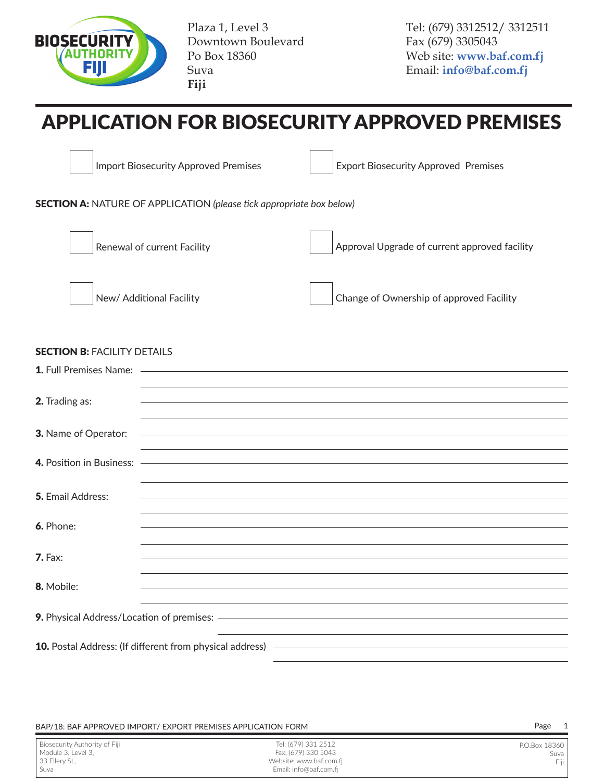

Plaza 1, Level 3 Downtown Boulevard Po Box 18360 Suva **Fiji** 

# APPLICATION FOR BIOSECURITY APPROVED PREMISES

Import Biosecurity Approved Premises

Export Biosecurity Approved Premises

SECTION A: NATURE OF APPLICATION *(please tick appropriate box below)*





Renewal of current Facility Approval Upgrade of current approved facility

New/ Additional Facility



### **SECTION B: FACILITY DETAILS**

|                                                                                             | <b>1.</b> Full Premises Name: $\frac{1}{2}$ <b>1.</b> Full Premises Name: $\frac{1}{2}$ <b>1.</b> Full Premises Name: $\frac{1}{2}$ <b>1.</b> Full Premises Name: $\frac{1}{2}$ <b>1.</b> The set of the set of the set of the set of the set of the set of the set of |  |  |  |
|---------------------------------------------------------------------------------------------|------------------------------------------------------------------------------------------------------------------------------------------------------------------------------------------------------------------------------------------------------------------------|--|--|--|
|                                                                                             |                                                                                                                                                                                                                                                                        |  |  |  |
| 2. Trading as:                                                                              | <u> 1989 - Johann Stoff, deutscher Stoff, der Stoff, der Stoff, der Stoff, der Stoff, der Stoff, der Stoff, der S</u>                                                                                                                                                  |  |  |  |
|                                                                                             |                                                                                                                                                                                                                                                                        |  |  |  |
|                                                                                             |                                                                                                                                                                                                                                                                        |  |  |  |
| <b>3.</b> Name of Operator:                                                                 |                                                                                                                                                                                                                                                                        |  |  |  |
|                                                                                             | <u> 1989 - Andrea Santana, amerikana amerikana amerikana amerikana amerikana amerikana amerikana amerikana amerika</u>                                                                                                                                                 |  |  |  |
|                                                                                             |                                                                                                                                                                                                                                                                        |  |  |  |
|                                                                                             |                                                                                                                                                                                                                                                                        |  |  |  |
| <b>5.</b> Email Address:                                                                    | <u> 1989 - Jan Samuel Barbara, margaret a shekara 1980 - Shekara ta 1980 - Shekara ta 1980 - Shekara ta 1980 - Sh</u>                                                                                                                                                  |  |  |  |
|                                                                                             |                                                                                                                                                                                                                                                                        |  |  |  |
| 6. Phone:                                                                                   | ,我们也不能在这里的时候,我们也不能在这里的时候,我们也不能会在这里,我们也不能会在这里的时候,我们也不能会在这里的时候,我们也不能会在这里的时候,我们也不能会                                                                                                                                                                                       |  |  |  |
|                                                                                             |                                                                                                                                                                                                                                                                        |  |  |  |
| $7.$ Fax:                                                                                   |                                                                                                                                                                                                                                                                        |  |  |  |
|                                                                                             |                                                                                                                                                                                                                                                                        |  |  |  |
| 8. Mobile:                                                                                  | ,我们也不会有什么。""我们的人,我们也不会有什么?""我们的人,我们也不会有什么?""我们的人,我们也不会有什么?""我们的人,我们也不会有什么?""我们的人                                                                                                                                                                                       |  |  |  |
|                                                                                             |                                                                                                                                                                                                                                                                        |  |  |  |
|                                                                                             |                                                                                                                                                                                                                                                                        |  |  |  |
|                                                                                             | <u> 1989 - Johann Barbara, marka a shekara tsa 1989 - An tsa 1989 - An tsa 1989 - An tsa 1989 - An tsa 1989 - An</u>                                                                                                                                                   |  |  |  |
| <b>10.</b> Postal Address: (If different from physical address) ——————————————————————————— |                                                                                                                                                                                                                                                                        |  |  |  |
|                                                                                             |                                                                                                                                                                                                                                                                        |  |  |  |

BAP/18: BAF APPROVED IMPORT/ EXPORT PREMISES APPLICATION FORM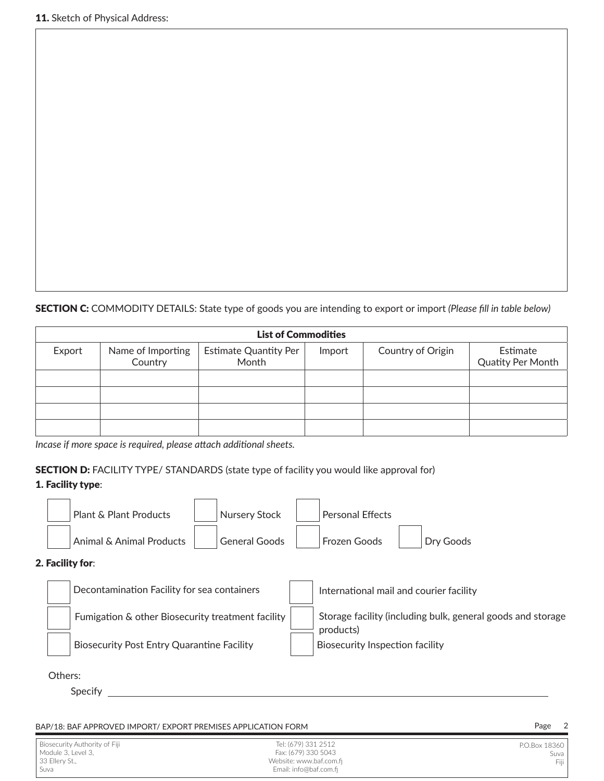SECTION C: COMMODITY DETAILS: State type of goods you are intending to export or import *(Please fill in table below)*

| <b>List of Commodities</b> |                              |                                       |        |                   |                                      |
|----------------------------|------------------------------|---------------------------------------|--------|-------------------|--------------------------------------|
| Export                     | Name of Importing<br>Country | <b>Estimate Quantity Per</b><br>Month | Import | Country of Origin | Estimate<br><b>Quatity Per Month</b> |
|                            |                              |                                       |        |                   |                                      |
|                            |                              |                                       |        |                   |                                      |
|                            |                              |                                       |        |                   |                                      |
|                            |                              |                                       |        |                   |                                      |

*Incase if more space is required, please attach additional sheets.*

**SECTION D:** FACILITY TYPE/ STANDARDS (state type of facility you would like approval for)

#### 1. Facility type:



Specify **Exercise Specify** 

|  | BAP/18: BAF APPROVED IMPORT/ EXPORT PREMISES APPLICATION FORM |  |  |  |
|--|---------------------------------------------------------------|--|--|--|
|  |                                                               |  |  |  |

| Biosecurity Authority of Fiji | Tel: (679) 331 2512     | P.O.Box 18360 |
|-------------------------------|-------------------------|---------------|
| l Module 3, Level 3,          | Fax: (679) 330 5043     | Suva          |
| 33 Ellery St.,                | Website: www.baf.com.fi | Fiii          |
| Suva                          | Email: info@baf.com.fj  |               |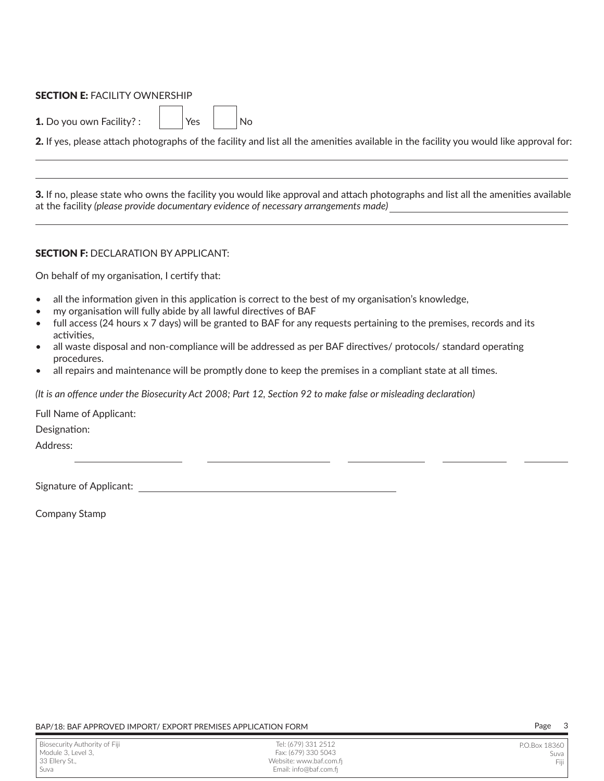#### **SECTION E: FACILITY OWNERSHIP**

1. Do you own Facility? :  $Yes \t | No$ 

2. If yes, please attach photographs of the facility and list all the amenities available in the facility you would like approval for:

3. If no, please state who owns the facility you would like approval and attach photographs and list all the amenities available at the facility *(please provide documentary evidence of necessary arrangements made)*

### SECTION F: DECLARATION BY APPLICANT:

On behalf of my organisation, I certify that:

- all the information given in this application is correct to the best of my organisation's knowledge,
- my organisation will fully abide by all lawful directives of BAF
- full access (24 hours x 7 days) will be granted to BAF for any requests pertaining to the premises, records and its activities,
- all waste disposal and non-compliance will be addressed as per BAF directives/ protocols/ standard operating procedures.
- all repairs and maintenance will be promptly done to keep the premises in a compliant state at all times.

*(It is an offence under the Biosecurity Act 2008; Part 12, Section 92 to make false or misleading declaration)*

Full Name of Applicant:

Designation:

Address:

Signature of Applicant:

Company Stamp

#### BAP/18: BAF APPROVED IMPORT/ EXPORT PREMISES APPLICATION FORM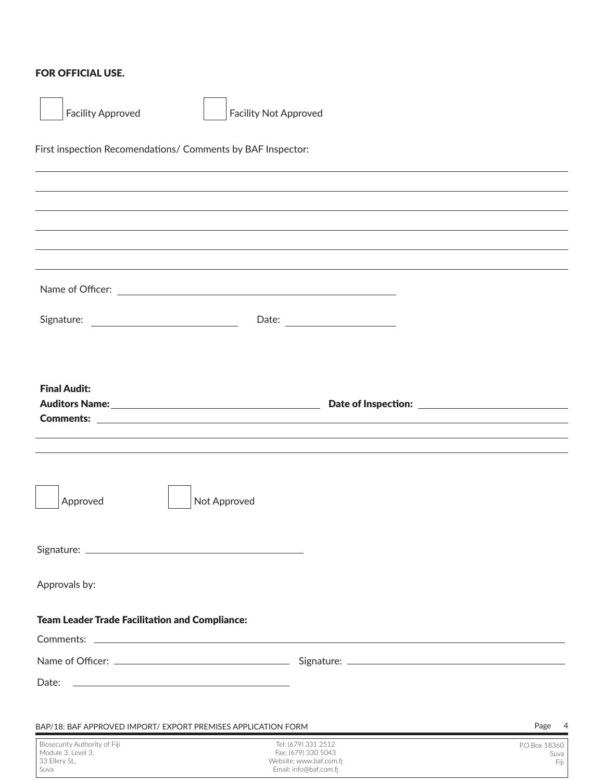# FOR OFFICIAL USE.

Suva

| <b>Facility Approved</b>                                                                               | <b>Facility Not Approved</b>                   |                        |
|--------------------------------------------------------------------------------------------------------|------------------------------------------------|------------------------|
| First inspection Recomendations/ Comments by BAF Inspector:                                            |                                                |                        |
|                                                                                                        |                                                |                        |
|                                                                                                        |                                                |                        |
|                                                                                                        |                                                |                        |
|                                                                                                        |                                                |                        |
|                                                                                                        |                                                |                        |
|                                                                                                        |                                                |                        |
|                                                                                                        |                                                |                        |
|                                                                                                        |                                                |                        |
|                                                                                                        |                                                |                        |
|                                                                                                        |                                                |                        |
| <b>Final Audit:</b>                                                                                    |                                                |                        |
|                                                                                                        |                                                |                        |
|                                                                                                        |                                                |                        |
|                                                                                                        |                                                |                        |
|                                                                                                        |                                                |                        |
| Approved                                                                                               | Not Approved                                   |                        |
|                                                                                                        |                                                |                        |
|                                                                                                        |                                                |                        |
|                                                                                                        |                                                |                        |
| Approvals by:                                                                                          |                                                |                        |
|                                                                                                        |                                                |                        |
| <b>Team Leader Trade Facilitation and Compliance:</b>                                                  |                                                |                        |
|                                                                                                        |                                                |                        |
| Date:<br>the control of the control of the control of the control of the control of the control of the |                                                |                        |
|                                                                                                        |                                                |                        |
| BAP/18: BAF APPROVED IMPORT/ EXPORT PREMISES APPLICATION FORM                                          |                                                | Page<br>$\overline{4}$ |
| Biosecurity Authority of Fiji                                                                          | Tel: (679) 331 2512                            | P.O.Box 18360          |
| Module 3, Level 3,<br>33 Ellery St.,                                                                   | Fax: (679) 330 5043<br>Website: www.baf.com.fj | Suva<br>Fiji           |

Email: info@baf.com.fj